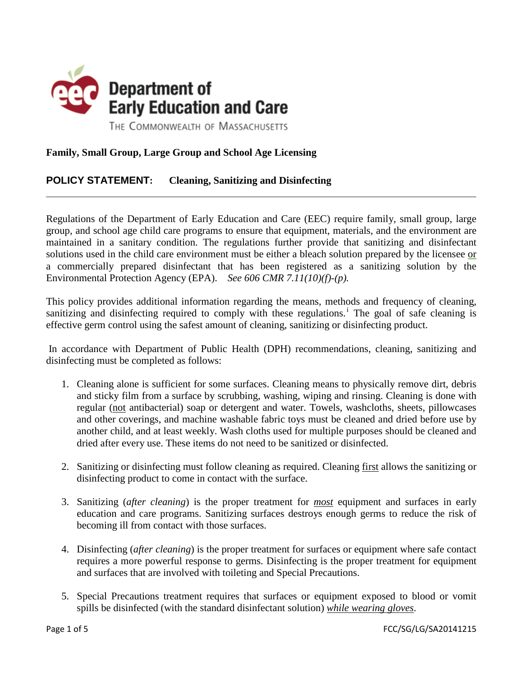

# **Family, Small Group, Large Group and School Age Licensing**

## **POLICY STATEMENT: Cleaning, Sanitizing and Disinfecting**

Regulations of the Department of Early Education and Care (EEC) require family, small group, large group, and school age child care programs to ensure that equipment, materials, and the environment are maintained in a sanitary condition. The regulations further provide that sanitizing and disinfectant solutions used in the child care environment must be either a bleach solution prepared by the licensee or a commercially prepared disinfectant that has been registered as a sanitizing solution by the Environmental Protection Agency (EPA). *See 606 CMR 7.11(10)(f)-(p).* 

This policy provides additional information regarding the means, methods and frequency of cleaning, san[i](#page-4-0)tizing and disinfecting required to comply with these regulations.<sup>i</sup> The goal of safe cleaning is effective germ control using the safest amount of cleaning, sanitizing or disinfecting product.

In accordance with Department of Public Health (DPH) recommendations, cleaning, sanitizing and disinfecting must be completed as follows:

- 1. Cleaning alone is sufficient for some surfaces. Cleaning means to physically remove dirt, debris and sticky film from a surface by scrubbing, washing, wiping and rinsing. Cleaning is done with regular (not antibacterial) soap or detergent and water. Towels, washcloths, sheets, pillowcases and other coverings, and machine washable fabric toys must be cleaned and dried before use by another child, and at least weekly. Wash cloths used for multiple purposes should be cleaned and dried after every use. These items do not need to be sanitized or disinfected.
- 2. Sanitizing or disinfecting must follow cleaning as required. Cleaning first allows the sanitizing or disinfecting product to come in contact with the surface.
- 3. Sanitizing (*after cleaning*) is the proper treatment for *most* equipment and surfaces in early education and care programs. Sanitizing surfaces destroys enough germs to reduce the risk of becoming ill from contact with those surfaces.
- 4. Disinfecting (*after cleaning*) is the proper treatment for surfaces or equipment where safe contact requires a more powerful response to germs. Disinfecting is the proper treatment for equipment and surfaces that are involved with toileting and Special Precautions.
- 5. Special Precautions treatment requires that surfaces or equipment exposed to blood or vomit spills be disinfected (with the standard disinfectant solution) *while wearing gloves*.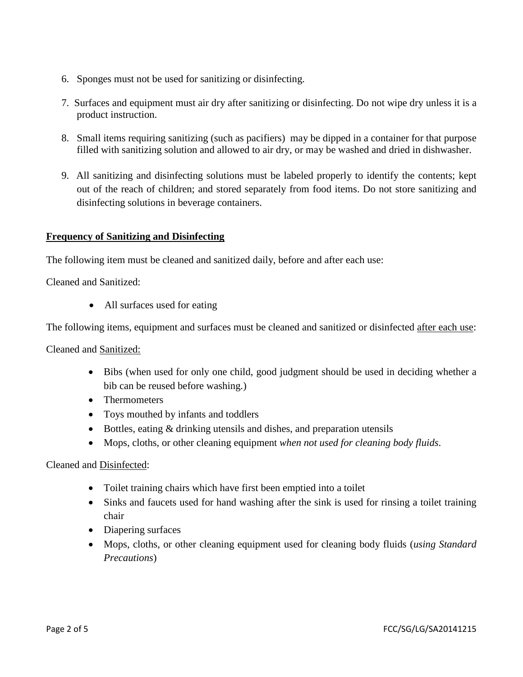- 6. Sponges must not be used for sanitizing or disinfecting.
- 7. Surfaces and equipment must air dry after sanitizing or disinfecting. Do not wipe dry unless it is a product instruction.
- 8. Small items requiring sanitizing (such as pacifiers) may be dipped in a container for that purpose filled with sanitizing solution and allowed to air dry, or may be washed and dried in dishwasher.
- 9. All sanitizing and disinfecting solutions must be labeled properly to identify the contents; kept out of the reach of children; and stored separately from food items. Do not store sanitizing and disinfecting solutions in beverage containers.

#### **Frequency of Sanitizing and Disinfecting**

The following item must be cleaned and sanitized daily, before and after each use:

Cleaned and Sanitized:

• All surfaces used for eating

The following items, equipment and surfaces must be cleaned and sanitized or disinfected after each use:

Cleaned and Sanitized:

- Bibs (when used for only one child, good judgment should be used in deciding whether a bib can be reused before washing.)
- Thermometers
- Toys mouthed by infants and toddlers
- Bottles, eating & drinking utensils and dishes, and preparation utensils
- Mops, cloths, or other cleaning equipment *when not used for cleaning body fluids*.

Cleaned and Disinfected:

- Toilet training chairs which have first been emptied into a toilet
- Sinks and faucets used for hand washing after the sink is used for rinsing a toilet training chair
- Diapering surfaces
- Mops, cloths, or other cleaning equipment used for cleaning body fluids (*using Standard Precautions*)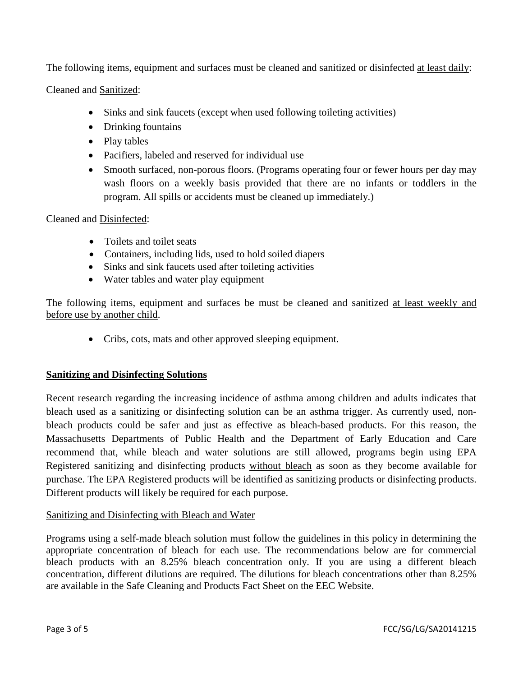The following items, equipment and surfaces must be cleaned and sanitized or disinfected at least daily:

Cleaned and Sanitized:

- Sinks and sink faucets (except when used following toileting activities)
- Drinking fountains
- Play tables
- Pacifiers, labeled and reserved for individual use
- Smooth surfaced, non-porous floors. (Programs operating four or fewer hours per day may wash floors on a weekly basis provided that there are no infants or toddlers in the program. All spills or accidents must be cleaned up immediately.)

Cleaned and Disinfected:

- Toilets and toilet seats
- Containers, including lids, used to hold soiled diapers
- Sinks and sink faucets used after toileting activities
- Water tables and water play equipment

The following items, equipment and surfaces be must be cleaned and sanitized at least weekly and before use by another child.

• Cribs, cots, mats and other approved sleeping equipment.

#### **Sanitizing and Disinfecting Solutions**

Recent research regarding the increasing incidence of asthma among children and adults indicates that bleach used as a sanitizing or disinfecting solution can be an asthma trigger. As currently used, nonbleach products could be safer and just as effective as bleach-based products. For this reason, the Massachusetts Departments of Public Health and the Department of Early Education and Care recommend that, while bleach and water solutions are still allowed, programs begin using EPA Registered sanitizing and disinfecting products without bleach as soon as they become available for purchase. The EPA Registered products will be identified as sanitizing products or disinfecting products. Different products will likely be required for each purpose.

## Sanitizing and Disinfecting with Bleach and Water

Programs using a self-made bleach solution must follow the guidelines in this policy in determining the appropriate concentration of bleach for each use. The recommendations below are for commercial bleach products with an 8.25% bleach concentration only. If you are using a different bleach concentration, different dilutions are required. The dilutions for bleach concentrations other than 8.25% are available in the Safe Cleaning and Products Fact Sheet on the EEC Website.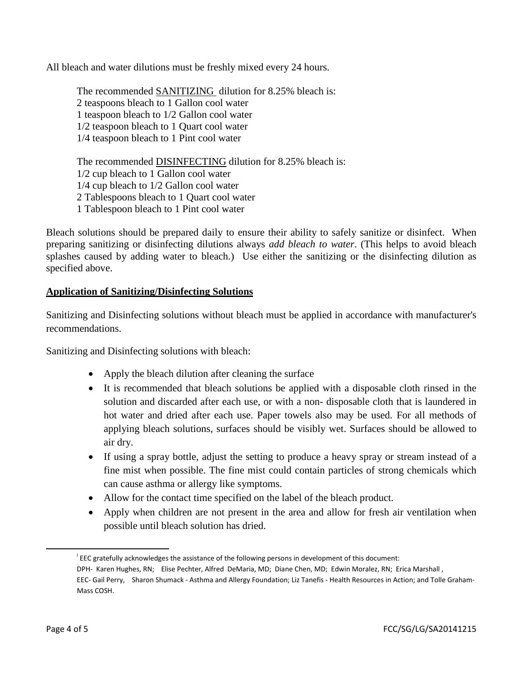All bleach and water dilutions must be freshly mixed every 24 hours.

The recommended SANITIZING dilution for 8.25% bleach is: 2 teaspoons bleach to 1 Gallon cool water 1 teaspoon bleach to 1/2 Gallon cool water 1/2 teaspoon bleach to 1 Quart cool water 1/4 teaspoon bleach to 1 Pint cool water

The recommended DISINFECTING dilution for 8.25% bleach is: 1/2 cup bleach to 1 Gallon cool water 1/4 cup bleach to 1/2 Gallon cool water 2 Tablespoons bleach to 1 Quart cool water 1 Tablespoon bleach to 1 Pint cool water

Bleach solutions should be prepared daily to ensure their ability to safely sanitize or disinfect. When preparing sanitizing or disinfecting dilutions always *add bleach to water*. (This helps to avoid bleach splashes caused by adding water to bleach.) Use either the sanitizing or the disinfecting dilution as specified above.

### **Application of Sanitizing/Disinfecting Solutions**

Sanitizing and Disinfecting solutions without bleach must be applied in accordance with manufacturer's recommendations.

Sanitizing and Disinfecting solutions with bleach:

- Apply the bleach dilution after cleaning the surface
- It is recommended that bleach solutions be applied with a disposable cloth rinsed in the solution and discarded after each use, or with a non- disposable cloth that is laundered in hot water and dried after each use. Paper towels also may be used. For all methods of applying bleach solutions, surfaces should be visibly wet. Surfaces should be allowed to air dry.
- If using a spray bottle, adjust the setting to produce a heavy spray or stream instead of a fine mist when possible. The fine mist could contain particles of strong chemicals which can cause asthma or allergy like symptoms.
- Allow for the contact time specified on the label of the bleach product.
- Apply when children are not present in the area and allow for fresh air ventilation when possible until bleach solution has dried.

 $\overline{\phantom{a}}$ 

i EEC gratefully acknowledges the assistance of the following persons in development of this document: DPH- Karen Hughes, RN; Elise Pechter, Alfred DeMaria, MD; Diane Chen, MD; Edwin Moralez, RN; Erica Marshall , EEC- Gail Perry, Sharon Shumack - Asthma and Allergy Foundation; Liz Tanefis - Health Resources in Action; and Tolle Graham-Mass COSH.